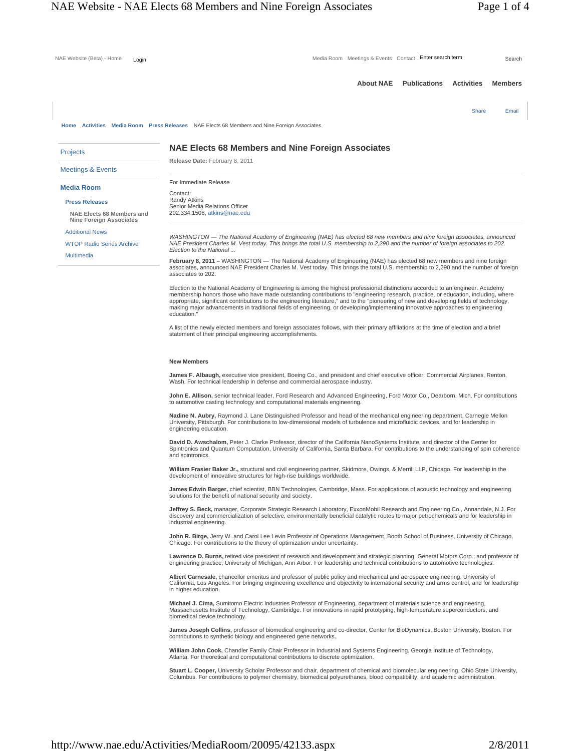| NAE Website (Beta) - Home<br>Login                                                           | Media Room Meetings & Events Contact Enter search term<br>Search                                                                                                                                                                                                                                                                                                                                                                                                                                                                                                     |
|----------------------------------------------------------------------------------------------|----------------------------------------------------------------------------------------------------------------------------------------------------------------------------------------------------------------------------------------------------------------------------------------------------------------------------------------------------------------------------------------------------------------------------------------------------------------------------------------------------------------------------------------------------------------------|
|                                                                                              | <b>About NAE</b><br><b>Publications</b><br><b>Activities</b><br><b>Members</b>                                                                                                                                                                                                                                                                                                                                                                                                                                                                                       |
|                                                                                              | Share<br>Email                                                                                                                                                                                                                                                                                                                                                                                                                                                                                                                                                       |
|                                                                                              | Home Activities Media Room Press Releases NAE Elects 68 Members and Nine Foreign Associates                                                                                                                                                                                                                                                                                                                                                                                                                                                                          |
| <b>Projects</b>                                                                              | <b>NAE Elects 68 Members and Nine Foreign Associates</b>                                                                                                                                                                                                                                                                                                                                                                                                                                                                                                             |
| <b>Meetings &amp; Events</b>                                                                 | Release Date: February 8, 2011                                                                                                                                                                                                                                                                                                                                                                                                                                                                                                                                       |
| <b>Media Room</b>                                                                            | For Immediate Release<br>Contact:                                                                                                                                                                                                                                                                                                                                                                                                                                                                                                                                    |
| <b>Press Releases</b>                                                                        | Randy Atkins<br>Senior Media Relations Officer                                                                                                                                                                                                                                                                                                                                                                                                                                                                                                                       |
| <b>NAE Elects 68 Members and</b><br><b>Nine Foreign Associates</b><br><b>Additional News</b> | 202.334.1508, atkins@nae.edu                                                                                                                                                                                                                                                                                                                                                                                                                                                                                                                                         |
|                                                                                              | WASHINGTON - The National Academy of Engineering (NAE) has elected 68 new members and nine foreign associates, announced                                                                                                                                                                                                                                                                                                                                                                                                                                             |
| <b>WTOP Radio Series Archive</b>                                                             | NAE President Charles M. Vest today. This brings the total U.S. membership to 2,290 and the number of foreign associates to 202.<br>Election to the National                                                                                                                                                                                                                                                                                                                                                                                                         |
| <b>Multimedia</b>                                                                            | February 8, 2011 - WASHINGTON - The National Academy of Engineering (NAE) has elected 68 new members and nine foreign<br>associates, announced NAE President Charles M. Vest today. This brings the total U.S. membership to 2,290 and the number of foreign<br>associates to 202.                                                                                                                                                                                                                                                                                   |
|                                                                                              | Election to the National Academy of Engineering is among the highest professional distinctions accorded to an engineer. Academy<br>membership honors those who have made outstanding contributions to "engineering research, practice, or education, including, where<br>appropriate, significant contributions to the engineering literature," and to the "pioneering of new and developing fields of technology,<br>making major advancements in traditional fields of engineering, or developing/implementing innovative approaches to engineering<br>education." |
|                                                                                              | A list of the newly elected members and foreign associates follows, with their primary affiliations at the time of election and a brief<br>statement of their principal engineering accomplishments.                                                                                                                                                                                                                                                                                                                                                                 |
|                                                                                              | <b>New Members</b>                                                                                                                                                                                                                                                                                                                                                                                                                                                                                                                                                   |
|                                                                                              | James F. Albaugh, executive vice president, Boeing Co., and president and chief executive officer, Commercial Airplanes, Renton,<br>Wash. For technical leadership in defense and commercial aerospace industry.                                                                                                                                                                                                                                                                                                                                                     |

**John E. Allison,** senior technical leader, Ford Research and Advanced Engineering, Ford Motor Co., Dearborn, Mich. For contributions to automotive casting technology and computational materials engineering.

**Nadine N. Aubry,** Raymond J. Lane Distinguished Professor and head of the mechanical engineering department, Carnegie Mellon University, Pittsburgh. For contributions to low-dimensional models of turbulence and microfluidic devices, and for leadership in engineering education.

**David D. Awschalom,** Peter J. Clarke Professor, director of the California NanoSystems Institute, and director of the Center for<br>Spintronics and Quantum Computation, University of California, Santa Barbara. For contributi and spintronics.

**William Frasier Baker Jr.,** structural and civil engineering partner, Skidmore, Owings, & Merrill LLP, Chicago. For leadership in the<br>development of innovative structures for high-rise buildings worldwide.

**James Edwin Barger,** chief scientist, BBN Technologies, Cambridge, Mass. For applications of acoustic technology and engineering<br>solutions for the benefit of national security and society.

**Jeffrey S. Beck,** manager, Corporate Strategic Research Laboratory, ExxonMobil Research and Engineering Co., Annandale, N.J. For discovery and commercialization of selective, environmentally beneficial catalytic routes to major petrochemicals and for leadership in industrial engineering.

**John R. Birge,** Jerry W. and Carol Lee Levin Professor of Operations Management, Booth School of Business, University of Chicago, Chicago. For contributions to the theory of optimization under uncertainty.

**Lawrence D. Burns,** retired vice president of research and development and strategic planning, General Motors Corp.; and professor of engineering practice, University of Michigan, Ann Arbor. For leadership and technical contributions to automotive technologies.

**Albert Carnesale,** chancellor emeritus and professor of public policy and mechanical and aerospace engineering, University of<br>California, Los Angeles. For bringing engineering excellence and objectivity to international s in higher education.

**Michael J. Cima,** Sumitomo Electric Industries Professor of Engineering, department of materials science and engineering, Massachusetts Institute of Technology, Cambridge. For innovations in rapid prototyping, high-temperature superconductors, and biomedical device technology.

**James Joseph Collins,** professor of biomedical engineering and co-director, Center for BioDynamics, Boston University, Boston. For contributions to synthetic biology and engineered gene networks.

**William John Cook,** Chandler Family Chair Professor in Industrial and Systems Engineering, Georgia Institute of Technology, Atlanta. For theoretical and computational contributions to discrete optimization.

**Stuart L. Cooper,** University Scholar Professor and chair, department of chemical and biomolecular engineering, Ohio State University, Columbus. For contributions to polymer chemistry, biomedical polyurethanes, blood compatibility, and academic administration.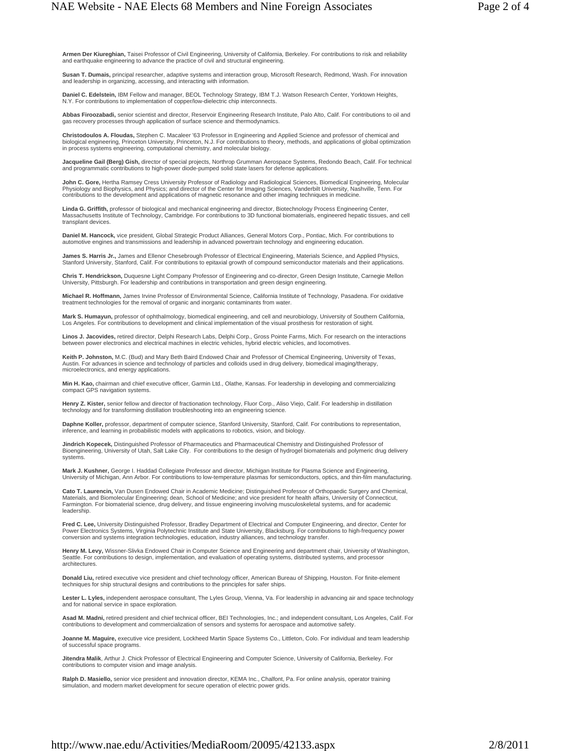**Armen Der Kiureghian,** Taisei Professor of Civil Engineering, University of California, Berkeley. For contributions to risk and reliability<br>and earthquake engineering to advance the practice of civil and structural engine

**Susan T. Dumais,** principal researcher, adaptive systems and interaction group, Microsoft Research, Redmond, Wash. For innovation and leadership in organizing, accessing, and interacting with information.

**Daniel C. Edelstein,** IBM Fellow and manager, BEOL Technology Strategy, IBM T.J. Watson Research Center, Yorktown Heights, N.Y. For contributions to implementation of copper/low-dielectric chip interconnects.

**Abbas Firoozabadi,** senior scientist and director, Reservoir Engineering Research Institute, Palo Alto, Calif. For contributions to oil and gas recovery processes through application of surface science and thermodynamics.

**Christodoulos A. Floudas,** Stephen C. Macaleer '63 Professor in Engineering and Applied Science and professor of chemical and biological engineering, Princeton University, Princeton, N.J. For contributions to theory, methods, and applications of global optimization<br>in process systems engineering, computational chemistry, and molecular biology.

**Jacqueline Gail (Berg) Gish,** director of special projects, Northrop Grumman Aerospace Systems, Redondo Beach, Calif. For technical<br>and programmatic contributions to high-power diode-pumped solid state lasers for defense

**John C. Gore,** Hertha Ramsey Cress University Professor of Radiology and Radiological Sciences, Biomedical Engineering, Molecular<br>Physiology and Biophysics, and Physics; and director of the Center for Imaging Sciences, Va

**Linda G. Griffith,** professor of biological and mechanical engineering and director, Biotechnology Process Engineering Center,<br>Massachusetts Institute of Technology, Cambridge. For contributions to 3D functional biomateri transplant devices.

**Daniel M. Hancock,** vice president, Global Strategic Product Alliances, General Motors Corp., Pontiac, Mich. For contributions to automotive engines and transmissions and leadership in advanced powertrain technology and engineering education.

**James S. Harris Jr.,** James and Ellenor Chesebrough Professor of Electrical Engineering, Materials Science, and Applied Physics,<br>Stanford University, Stanford, Calif. For contributions to epitaxial growth of compound semi

**Chris T. Hendrickson,** Duquesne Light Company Professor of Engineering and co-director, Green Design Institute, Carnegie Mellon<br>University, Pittsburgh. For leadership and contributions in transportation and green design e

**Michael R. Hoffmann,** James Irvine Professor of Environmental Science, California Institute of Technology, Pasadena. For oxidative treatment technologies for the removal of organic and inorganic contaminants from water.

**Mark S. Humayun,** professor of ophthalmology, biomedical engineering, and cell and neurobiology, University of Southern California,<br>Los Angeles. For contributions to development and clinical implementation of the visual p

**Linos J. Jacovides,** retired director, Delphi Research Labs, Delphi Corp., Gross Pointe Farms, Mich. For research on the interactions<br>between power electronics and electrical machines in electric vehicles, hybrid electric

**Keith P. Johnston,** M.C. (Bud) and Mary Beth Baird Endowed Chair and Professor of Chemical Engineering, University of Texas,<br>Austin. For advances in science and technology of particles and colloids used in drug delivery, microelectronics, and energy applications.

**Min H. Kao,** chairman and chief executive officer, Garmin Ltd., Olathe, Kansas. For leadership in developing and commercializing compact GPS navigation systems.

**Henry Z. Kister,** senior fellow and director of fractionation technology, Fluor Corp., Aliso Viejo, Calif. For leadership in distillation technology and for transforming distillation troubleshooting into an engineering science.

**Daphne Koller,** professor, department of computer science, Stanford University, Stanford, Calif. For contributions to representation, inference, and learning in probabilistic models with applications to robotics, vision, and biology.

**Jindrich Kopecek,** Distinguished Professor of Pharmaceutics and Pharmaceutical Chemistry and Distinguished Professor of<br>Bioengineering, University of Utah, Salt Lake City. For contributions to the design of hydrogel bioma systems.

**Mark J. Kushner,** George I. Haddad Collegiate Professor and director, Michigan Institute for Plasma Science and Engineering, University of Michigan, Ann Arbor. For contributions to low-temperature plasmas for semiconductors, optics, and thin-film manufacturing.

**Cato T. Laurencin,** Van Dusen Endowed Chair in Academic Medicine; Distinguished Professor of Orthopaedic Surgery and Chemical, Materials, and Biomolecular Engineering; dean, School of Medicine; and vice president for health affairs, University of Connecticut, Farmington. For biomaterial science, drug delivery, and tissue engineering involving musculoskeletal systems, and for academic leadership.

**Fred C. Lee,** University Distinguished Professor, Bradley Department of Electrical and Computer Engineering, and director, Center for Power Electronics Systems, Virginia Polytechnic Institute and State University, Blacksburg. For contributions to high-frequency power conversion and systems integration technologies, education, industry alliances, and technology transfer.

**Henry M. Levy,** Wissner-Slivka Endowed Chair in Computer Science and Engineering and department chair, University of Washington, Seattle. For contributions to design, implementation, and evaluation of operating systems, distributed systems, and processor architectures.

**Donald Liu,** retired executive vice president and chief technology officer, American Bureau of Shipping, Houston. For finite-element techniques for ship structural designs and contributions to the principles for safer ships.

**Lester L. Lyles,** independent aerospace consultant, The Lyles Group, Vienna, Va. For leadership in advancing air and space technology and for national service in space exploration.

**Asad M. Madni,** retired president and chief technical officer, BEI Technologies, Inc.; and independent consultant, Los Angeles, Calif. For contributions to development and commercialization of sensors and systems for aerospace and automotive safety.

**Joanne M. Maguire,** executive vice president, Lockheed Martin Space Systems Co., Littleton, Colo. For individual and team leadership of successful space programs.

**Jitendra Malik**, Arthur J. Chick Professor of Electrical Engineering and Computer Science, University of California, Berkeley. For contributions to computer vision and image analysis.

**Ralph D. Masiello,** senior vice president and innovation director, KEMA Inc., Chalfont, Pa. For online analysis, operator training simulation, and modern market development for secure operation of electric power grids.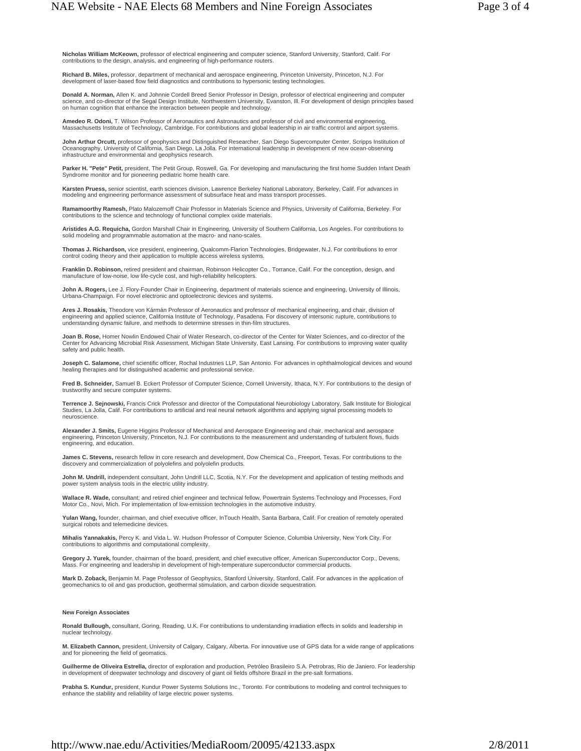**Nicholas William McKeown,** professor of electrical engineering and computer science, Stanford University, Stanford, Calif. For contributions to the design, analysis, and engineering of high-performance routers.

**Richard B. Miles,** professor, department of mechanical and aerospace engineering, Princeton University, Princeton, N.J. For development of laser-based flow field diagnostics and contributions to hypersonic testing technologies.

**Donald A. Norman,** Allen K. and Johnnie Cordell Breed Senior Professor in Design, professor of electrical engineering and computer science, and co-director of the Segal Design Institute, Northwestern University, Evanston, Ill. For development of design principles based<br>on human cognition that enhance the interaction between people and technology.

**Amedeo R. Odoni,** T. Wilson Professor of Aeronautics and Astronautics and professor of civil and environmental engineering,<br>Massachusetts Institute of Technology, Cambridge. For contributions and global leadership in air

**John Arthur Orcutt,** professor of geophysics and Distinguished Researcher, San Diego Supercomputer Center, Scripps Institution of<br>Oceanography, University of California, San Diego, La Jolla. For international leadership i infrastructure and environmental and geophysics research.

**Parker H. "Pete" Petit,** president, The Petit Group, Roswell, Ga. For developing and manufacturing the first home Sudden Infant Death Syndrome monitor and for pioneering pediatric home health care.

**Karsten Pruess,** senior scientist, earth sciences division, Lawrence Berkeley National Laboratory, Berkeley, Calif. For advances in modeling and engineering performance assessment of subsurface heat and mass transport processes.

**Ramamoorthy Ramesh,** Plato Malozemoff Chair Professor in Materials Science and Physics, University of California, Berkeley. For contributions to the science and technology of functional complex oxide materials.

**Aristides A.G. Requicha,** Gordon Marshall Chair in Engineering, University of Southern California, Los Angeles. For contributions to solid modeling and programmable automation at the macro- and nano-scales.

**Thomas J. Richardson,** vice president, engineering, Qualcomm-Flarion Technologies, Bridgewater, N.J. For contributions to error control coding theory and their application to multiple access wireless systems.

**Franklin D. Robinson,** retired president and chairman, Robinson Helicopter Co., Torrance, Calif. For the conception, design, and manufacture of low-noise, low life-cycle cost, and high-reliability helicopters.

**John A. Rogers,** Lee J. Flory-Founder Chair in Engineering, department of materials science and engineering, University of Illinois, Urbana-Champaign. For novel electronic and optoelectronic devices and systems.

**Ares J. Rosakis,** Theodore von Kármán Professor of Aeronautics and professor of mechanical engineering, and chair, division of engineering and applied science, California Institute of Technology, Pasadena. For discovery of intersonic rupture, contributions to<br>understanding dynamic failure, and methods to determine stresses in thin-film structures.

**Joan B. Rose,** Homer Nowlin Endowed Chair of Water Research, co-director of the Center for Water Sciences, and co-director of the Center for Advancing Microbial Risk Assessment, Michigan State University, East Lansing. For contributions to improving water quality safety and public health.

**Joseph C. Salamone,** chief scientific officer, Rochal Industries LLP, San Antonio. For advances in ophthalmological devices and wound healing therapies and for distinguished academic and professional service.

**Fred B. Schneider,** Samuel B. Eckert Professor of Computer Science, Cornell University, Ithaca, N.Y. For contributions to the design of trustworthy and secure computer systems.

**Terrence J. Sejnowski,** Francis Crick Professor and director of the Computational Neurobiology Laboratory, Salk Institute for Biological Studies, La Jolla, Calif. For contributions to artificial and real neural network algorithms and applying signal processing models to neuroscience.

**Alexander J. Smits,** Eugene Higgins Professor of Mechanical and Aerospace Engineering and chair, mechanical and aerospace engineering, Princeton University, Princeton, N.J. For contributions to the measurement and understanding of turbulent flows, fluids engineering, and education.

**James C. Stevens,** research fellow in core research and development, Dow Chemical Co., Freeport, Texas. For contributions to the discovery and commercialization of polyolefins and polyolefin products.

**John M. Undrill,** independent consultant, John Undrill LLC, Scotia, N.Y. For the development and application of testing methods and power system analysis tools in the electric utility industry.

**Wallace R. Wade,** consultant; and retired chief engineer and technical fellow, Powertrain Systems Technology and Processes, Ford Motor Co., Novi, Mich. For implementation of low-emission technologies in the automotive industry.

**Yulan Wang,** founder, chairman, and chief executive officer, InTouch Health, Santa Barbara, Calif. For creation of remotely operated surgical robots and telemedicine devices.

**Mihalis Yannakakis,** Percy K. and Vida L. W. Hudson Professor of Computer Science, Columbia University, New York City. For contributions to algorithms and computational complexity.

**Gregory J. Yurek,** founder, chairman of the board, president, and chief executive officer, American Superconductor Corp., Devens, Mass. For engineering and leadership in development of high-temperature superconductor commercial products.

**Mark D. Zoback,** Benjamin M. Page Professor of Geophysics, Stanford University, Stanford, Calif. For advances in the application of geomechanics to oil and gas production, geothermal stimulation, and carbon dioxide sequestration.

## **New Foreign Associates**

**Ronald Bullough,** consultant, Goring, Reading, U.K. For contributions to understanding irradiation effects in solids and leadership in nuclear technology.

**M. Elizabeth Cannon,** president, University of Calgary, Calgary, Alberta. For innovative use of GPS data for a wide range of applications and for pioneering the field of geomatics.

**Guilherme de Oliveira Estrella,** director of exploration and production, Petróleo Brasileiro S.A. Petrobras, Rio de Janiero. For leadership in development of deepwater technology and discovery of giant oil fields offshore Brazil in the pre-salt formations.

**Prabha S. Kundur,** president, Kundur Power Systems Solutions Inc., Toronto. For contributions to modeling and control techniques to enhance the stability and reliability of large electric power systems.